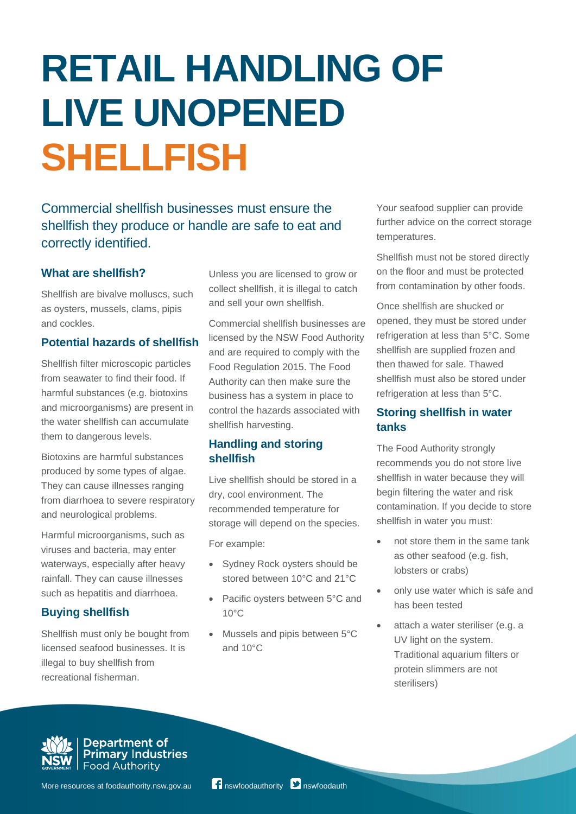# **RETAIL HANDLING OF LIVE UNOPENED SHELLFISH**

Commercial shellfish businesses must ensure the shellfish they produce or handle are safe to eat and correctly identified.

# **What are shellfish?**

Shellfish are bivalve molluscs, such as oysters, mussels, clams, pipis and cockles.

## **Potential hazards of shellfish**

Shellfish filter microscopic particles from seawater to find their food. If harmful substances (e.g. biotoxins and microorganisms) are present in the water shellfish can accumulate them to dangerous levels.

Biotoxins are harmful substances produced by some types of algae. They can cause illnesses ranging from diarrhoea to severe respiratory and neurological problems.

Harmful microorganisms, such as viruses and bacteria, may enter waterways, especially after heavy rainfall. They can cause illnesses such as hepatitis and diarrhoea.

#### **Buying shellfish**

Shellfish must only be bought from licensed seafood businesses. It is illegal to buy shellfish from recreational fisherman.

Unless you are licensed to grow or collect shellfish, it is illegal to catch and sell your own shellfish.

Commercial shellfish businesses are licensed by the NSW Food Authority and are required to comply with the Food Regulation 2015. The Food Authority can then make sure the business has a system in place to control the hazards associated with shellfish harvesting.

# **Handling and storing shellfish**

Live shellfish should be stored in a dry, cool environment. The recommended temperature for storage will depend on the species.

For example:

- Sydney Rock oysters should be stored between 10°C and 21°C
- Pacific oysters between 5°C and  $10^{\circ}$ C
- Mussels and pipis between 5°C and 10°C

Your seafood supplier can provide further advice on the correct storage temperatures.

Shellfish must not be stored directly on the floor and must be protected from contamination by other foods.

Once shellfish are shucked or opened, they must be stored under refrigeration at less than 5°C. Some shellfish are supplied frozen and then thawed for sale. Thawed shellfish must also be stored under refrigeration at less than 5°C.

# **Storing shellfish in water tanks**

The Food Authority strongly recommends you do not store live shellfish in water because they will begin filtering the water and risk contamination. If you decide to store shellfish in water you must:

- not store them in the same tank as other seafood (e.g. fish, lobsters or crabs)
- only use water which is safe and has been tested
- attach a water steriliser (e.g. a UV light on the system. Traditional aquarium filters or protein slimmers are not sterilisers)



**Department of<br>Primary Industries**<br>Food Authority